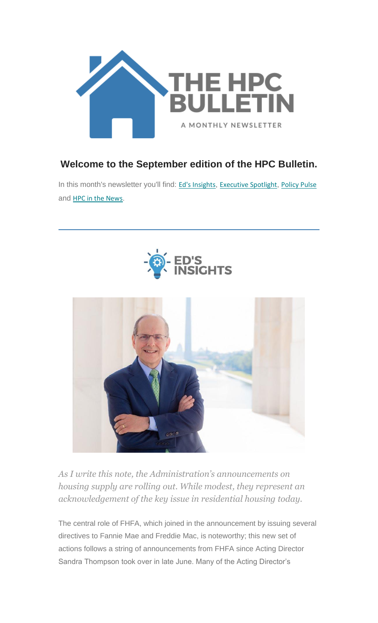

#### **Welcome to the September edition of the HPC Bulletin.**

In this month's newsletter you'll find: Ed's [Insights](#page-0-0), [Executive](#page-2-0) Spotlight, [Policy Pulse](#page-3-0) and **HPC** in the News.





<span id="page-0-0"></span>*As I write this note, the Administration's announcements on housing supply are rolling out. While modest, they represent an acknowledgement of the key issue in residential housing today.* 

The central role of FHFA, which joined in the announcement by issuing several directives to Fannie Mae and Freddie Mac, is noteworthy; this new set of actions follows a string of announcements from FHFA since Acting Director Sandra Thompson took over in late June. Many of the Acting Director's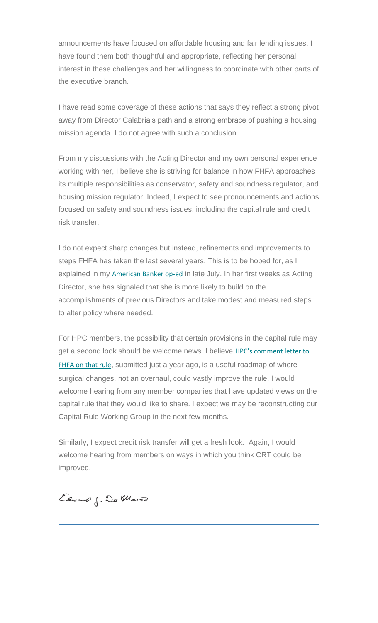announcements have focused on affordable housing and fair lending issues. I have found them both thoughtful and appropriate, reflecting her personal interest in these challenges and her willingness to coordinate with other parts of the executive branch.

I have read some coverage of these actions that says they reflect a strong pivot away from Director Calabria's path and a strong embrace of pushing a housing mission agenda. I do not agree with such a conclusion.

From my discussions with the Acting Director and my own personal experience working with her, I believe she is striving for balance in how FHFA approaches its multiple responsibilities as conservator, safety and soundness regulator, and housing mission regulator. Indeed, I expect to see pronouncements and actions focused on safety and soundness issues, including the capital rule and credit risk transfer.

I do not expect sharp changes but instead, refinements and improvements to steps FHFA has taken the last several years. This is to be hoped for, as I explained in my **[American Banker op-ed](https://nam12.safelinks.protection.outlook.com/?url=https%3A%2F%2Fhousingpolicycouncil.us4.list-manage.com%2Ftrack%2Fclick%3Fu%3D5140623077e4523696cc45400%26id%3Df89f6f7a58%26e%3D59545c9cdd&data=04%7C01%7Canna.herndon%40edelman.com%7Ca8c22ef84ba945eeaccd08d971f2c580%7Cb824bfb3918e43c2bb1cdcc1ba40a82b%7C0%7C0%7C637666111133005684%7CUnknown%7CTWFpbGZsb3d8eyJWIjoiMC4wLjAwMDAiLCJQIjoiV2luMzIiLCJBTiI6Ik1haWwiLCJXVCI6Mn0%3D%7C1000&sdata=j4Eyta2ZW%2FrRaZIa%2Bsnz%2FdAN7S4tAQi1UbbWlUfDAVU%3D&reserved=0)** in late July. In her first weeks as Acting Director, she has signaled that she is more likely to build on the accomplishments of previous Directors and take modest and measured steps to alter policy where needed.

For HPC members, the possibility that certain provisions in the capital rule may get a second look should be welcome news. I believe HPC's comment letter to [FHFA on that rule](https://nam12.safelinks.protection.outlook.com/?url=https%3A%2F%2Fhousingpolicycouncil.us4.list-manage.com%2Ftrack%2Fclick%3Fu%3D5140623077e4523696cc45400%26id%3D00aa867159%26e%3D59545c9cdd&data=04%7C01%7Canna.herndon%40edelman.com%7Ca8c22ef84ba945eeaccd08d971f2c580%7Cb824bfb3918e43c2bb1cdcc1ba40a82b%7C0%7C0%7C637666111133005684%7CUnknown%7CTWFpbGZsb3d8eyJWIjoiMC4wLjAwMDAiLCJQIjoiV2luMzIiLCJBTiI6Ik1haWwiLCJXVCI6Mn0%3D%7C1000&sdata=qKx6dBHCAxIEXrwcPBGeKJ2Wp5m4Wp0Vzzi1FOt%2FyjI%3D&reserved=0), submitted just a year ago, is a useful roadmap of where surgical changes, not an overhaul, could vastly improve the rule. I would welcome hearing from any member companies that have updated views on the capital rule that they would like to share. I expect we may be reconstructing our Capital Rule Working Group in the next few months.

Similarly, I expect credit risk transfer will get a fresh look. Again, I would welcome hearing from members on ways in which you think CRT could be improved.

Edward J. Do Mairo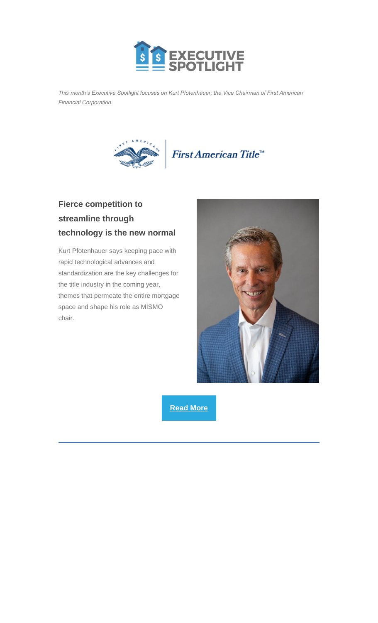

<span id="page-2-0"></span>*This month's Executive Spotlight focuses on Kurt Pfotenhauer, the Vice Chairman of First American Financial Corporation.*



### **Fierce competition to streamline through technology is the new normal**

Kurt Pfotenhauer says keeping pace with rapid technological advances and standardization are the key challenges for the title industry in the coming year, themes that permeate the entire mortgage space and shape his role as MISMO chair.



**[Read More](https://nam12.safelinks.protection.outlook.com/?url=https%3A%2F%2Fhousingpolicycouncil.us4.list-manage.com%2Ftrack%2Fclick%3Fu%3D5140623077e4523696cc45400%26id%3D5f112995f9%26e%3D59545c9cdd&data=04%7C01%7Canna.herndon%40edelman.com%7Ca8c22ef84ba945eeaccd08d971f2c580%7Cb824bfb3918e43c2bb1cdcc1ba40a82b%7C0%7C0%7C637666111133015685%7CUnknown%7CTWFpbGZsb3d8eyJWIjoiMC4wLjAwMDAiLCJQIjoiV2luMzIiLCJBTiI6Ik1haWwiLCJXVCI6Mn0%3D%7C1000&sdata=Q1b04%2FbtugwzbkhJZ9gAnmbUbugPrRA3%2BcUL7TA0OAU%3D&reserved=0)**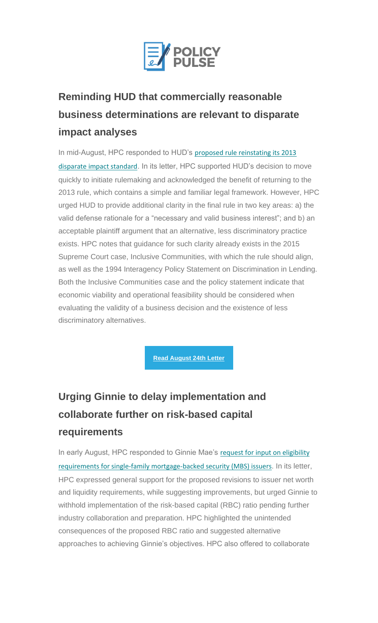

# <span id="page-3-0"></span>**Reminding HUD that commercially reasonable business determinations are relevant to disparate impact analyses**

In mid-August, HPC responded to HUD's proposed rule reinstating its 2013 [disparate impact standard](https://nam12.safelinks.protection.outlook.com/?url=https%3A%2F%2Fhousingpolicycouncil.us4.list-manage.com%2Ftrack%2Fclick%3Fu%3D5140623077e4523696cc45400%26id%3D68fa272734%26e%3D59545c9cdd&data=04%7C01%7Canna.herndon%40edelman.com%7Ca8c22ef84ba945eeaccd08d971f2c580%7Cb824bfb3918e43c2bb1cdcc1ba40a82b%7C0%7C0%7C637666111133015685%7CUnknown%7CTWFpbGZsb3d8eyJWIjoiMC4wLjAwMDAiLCJQIjoiV2luMzIiLCJBTiI6Ik1haWwiLCJXVCI6Mn0%3D%7C1000&sdata=KsfGnOto2J9B4YbVe5ij8lML09ebjVftr8W5klLGhDg%3D&reserved=0). In its letter, HPC supported HUD's decision to move quickly to initiate rulemaking and acknowledged the benefit of returning to the 2013 rule, which contains a simple and familiar legal framework. However, HPC urged HUD to provide additional clarity in the final rule in two key areas: a) the valid defense rationale for a "necessary and valid business interest"; and b) an acceptable plaintiff argument that an alternative, less discriminatory practice exists. HPC notes that guidance for such clarity already exists in the 2015 Supreme Court case, Inclusive Communities, with which the rule should align, as well as the 1994 Interagency Policy Statement on Discrimination in Lending. Both the Inclusive Communities case and the policy statement indicate that economic viability and operational feasibility should be considered when evaluating the validity of a business decision and the existence of less discriminatory alternatives.

**[Read August 24th Letter](https://nam12.safelinks.protection.outlook.com/?url=https%3A%2F%2Fhousingpolicycouncil.us4.list-manage.com%2Ftrack%2Fclick%3Fu%3D5140623077e4523696cc45400%26id%3D5d8613856c%26e%3D59545c9cdd&data=04%7C01%7Canna.herndon%40edelman.com%7Ca8c22ef84ba945eeaccd08d971f2c580%7Cb824bfb3918e43c2bb1cdcc1ba40a82b%7C0%7C0%7C637666111133025671%7CUnknown%7CTWFpbGZsb3d8eyJWIjoiMC4wLjAwMDAiLCJQIjoiV2luMzIiLCJBTiI6Ik1haWwiLCJXVCI6Mn0%3D%7C1000&sdata=ajtQTT5jXRVM8gKKg3Rs7mIFc55po6bQTapQimssYnY%3D&reserved=0)**

# **Urging Ginnie to delay implementation and collaborate further on risk-based capital requirements**

In early August, HPC responded to Ginnie Mae's request for input on eligibility [requirements for single-family mortgage-backed security \(MBS\) issuers](https://nam12.safelinks.protection.outlook.com/?url=https%3A%2F%2Fhousingpolicycouncil.us4.list-manage.com%2Ftrack%2Fclick%3Fu%3D5140623077e4523696cc45400%26id%3D6bb5096025%26e%3D59545c9cdd&data=04%7C01%7Canna.herndon%40edelman.com%7Ca8c22ef84ba945eeaccd08d971f2c580%7Cb824bfb3918e43c2bb1cdcc1ba40a82b%7C0%7C0%7C637666111133025671%7CUnknown%7CTWFpbGZsb3d8eyJWIjoiMC4wLjAwMDAiLCJQIjoiV2luMzIiLCJBTiI6Ik1haWwiLCJXVCI6Mn0%3D%7C1000&sdata=FM1xkMIxIqopwpOrZArxpSBl6GtCWO%2FIC04jO4idalw%3D&reserved=0). In its letter, HPC expressed general support for the proposed revisions to issuer net worth and liquidity requirements, while suggesting improvements, but urged Ginnie to withhold implementation of the risk-based capital (RBC) ratio pending further industry collaboration and preparation. HPC highlighted the unintended consequences of the proposed RBC ratio and suggested alternative approaches to achieving Ginnie's objectives. HPC also offered to collaborate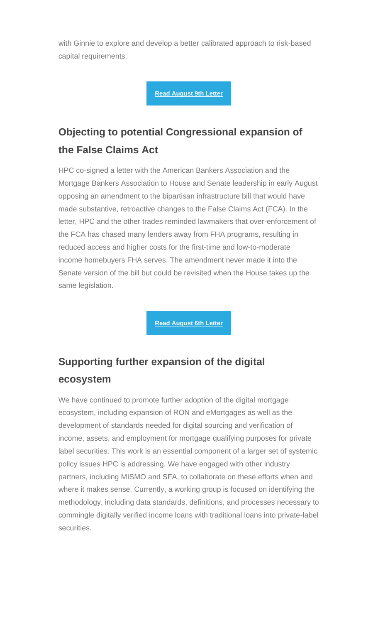with Ginnie to explore and develop a better calibrated approach to risk-based capital requirements.

**[Read August 9th Letter](https://nam12.safelinks.protection.outlook.com/?url=https%3A%2F%2Fhousingpolicycouncil.us4.list-manage.com%2Ftrack%2Fclick%3Fu%3D5140623077e4523696cc45400%26id%3D13b0c6719e%26e%3D59545c9cdd&data=04%7C01%7Canna.herndon%40edelman.com%7Ca8c22ef84ba945eeaccd08d971f2c580%7Cb824bfb3918e43c2bb1cdcc1ba40a82b%7C0%7C0%7C637666111133035670%7CUnknown%7CTWFpbGZsb3d8eyJWIjoiMC4wLjAwMDAiLCJQIjoiV2luMzIiLCJBTiI6Ik1haWwiLCJXVCI6Mn0%3D%7C1000&sdata=brwOae47d5V41Ch%2F2GDPC%2Bs1ATK5i%2FNYSoxG2N4HEbw%3D&reserved=0)**

## **Objecting to potential Congressional expansion of the False Claims Act**

HPC co-signed a letter with the American Bankers Association and the Mortgage Bankers Association to House and Senate leadership in early August opposing an amendment to the bipartisan infrastructure bill that would have made substantive, retroactive changes to the False Claims Act (FCA). In the letter, HPC and the other trades reminded lawmakers that over-enforcement of the FCA has chased many lenders away from FHA programs, resulting in reduced access and higher costs for the first-time and low-to-moderate income homebuyers FHA serves. The amendment never made it into the Senate version of the bill but could be revisited when the House takes up the same legislation.

**[Read August 6th Letter](https://nam12.safelinks.protection.outlook.com/?url=https%3A%2F%2Fhousingpolicycouncil.us4.list-manage.com%2Ftrack%2Fclick%3Fu%3D5140623077e4523696cc45400%26id%3D891275be3c%26e%3D59545c9cdd&data=04%7C01%7Canna.herndon%40edelman.com%7Ca8c22ef84ba945eeaccd08d971f2c580%7Cb824bfb3918e43c2bb1cdcc1ba40a82b%7C0%7C0%7C637666111133045677%7CUnknown%7CTWFpbGZsb3d8eyJWIjoiMC4wLjAwMDAiLCJQIjoiV2luMzIiLCJBTiI6Ik1haWwiLCJXVCI6Mn0%3D%7C1000&sdata=Ksx81E6HqaYaIY28mkmhE%2BKA6vycxHAyeKqL54OFn%2Fo%3D&reserved=0)**

## **Supporting further expansion of the digital ecosystem**

We have continued to promote further adoption of the digital mortgage ecosystem, including expansion of RON and eMortgages as well as the development of standards needed for digital sourcing and verification of income, assets, and employment for mortgage qualifying purposes for private label securities. This work is an essential component of a larger set of systemic policy issues HPC is addressing. We have engaged with other industry partners, including MISMO and SFA, to collaborate on these efforts when and where it makes sense. Currently, a working group is focused on identifying the methodology, including data standards, definitions, and processes necessary to commingle digitally verified income loans with traditional loans into private-label securities.